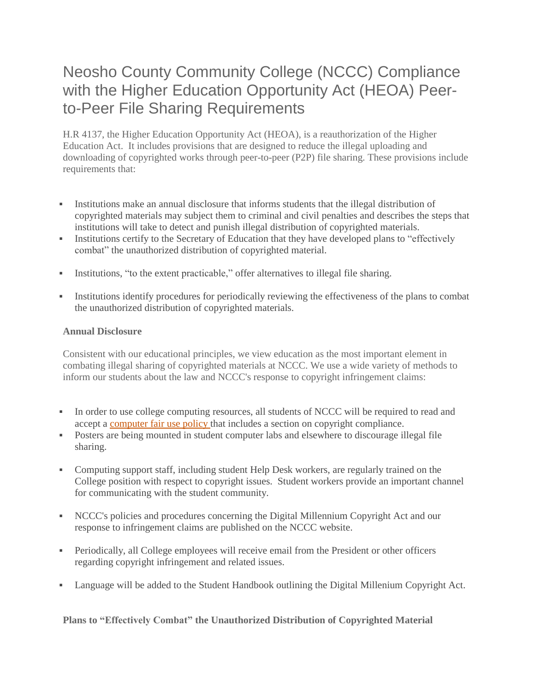# Neosho County Community College (NCCC) Compliance with the Higher Education Opportunity Act (HEOA) Peerto-Peer File Sharing Requirements

H.R 4137, the Higher Education Opportunity Act (HEOA), is a reauthorization of the Higher Education Act. It includes provisions that are designed to reduce the illegal uploading and downloading of copyrighted works through peer-to-peer (P2P) file sharing. These provisions include requirements that:

- Institutions make an annual disclosure that informs students that the illegal distribution of copyrighted materials may subject them to criminal and civil penalties and describes the steps that institutions will take to detect and punish illegal distribution of copyrighted materials.
- Institutions certify to the Secretary of Education that they have developed plans to "effectively" combat" the unauthorized distribution of copyrighted material.
- Institutions, "to the extent practicable," offer alternatives to illegal file sharing.
- Institutions identify procedures for periodically reviewing the effectiveness of the plans to combat the unauthorized distribution of copyrighted materials.

## **Annual Disclosure**

Consistent with our educational principles, we view education as the most important element in combating illegal sharing of copyrighted materials at NCCC. We use a wide variety of methods to inform our students about the law and NCCC's response to copyright infringement claims:

- In order to use college computing resources, all students of NCCC will be required to read and accept a [computer](https://www.neosho.edu/Departments/TechnologyServices/Policies/FairUsePolicy.aspx) fair use policy that includes a section on copyright compliance.
- Posters are being mounted in student computer labs and elsewhere to discourage illegal file sharing.
- Computing support staff, including student Help Desk workers, are regularly trained on the College position with respect to copyright issues. Student workers provide an important channel for communicating with the student community.
- NCCC's policies and procedures concerning the Digital Millennium Copyright Act and our response to infringement claims are published on the NCCC website.
- Periodically, all College employees will receive email from the President or other officers regarding copyright infringement and related issues.
- Language will be added to the Student Handbook outlining the Digital Millenium Copyright Act.

**Plans to "Effectively Combat" the Unauthorized Distribution of Copyrighted Material**